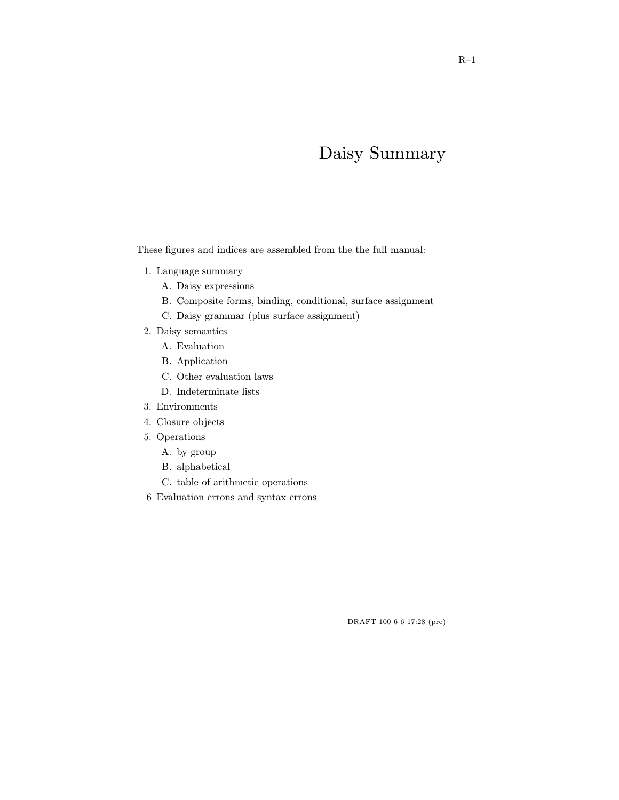# Daisy Summary

These figures and indices are assembled from the the full manual:

- 1. Language summary
	- A. Daisy expressions
	- B. Composite forms, binding, conditional, surface assignment
	- C. Daisy grammar (plus surface assignment)
- 2. Daisy semantics
	- A. Evaluation
	- B. Application
	- C. Other evaluation laws
	- D. Indeterminate lists
- 3. Environments
- 4. Closure objects
- 5. Operations
	- A. by group
	- B. alphabetical
	- C. table of arithmetic operations
- 6 Evaluation errons and syntax errons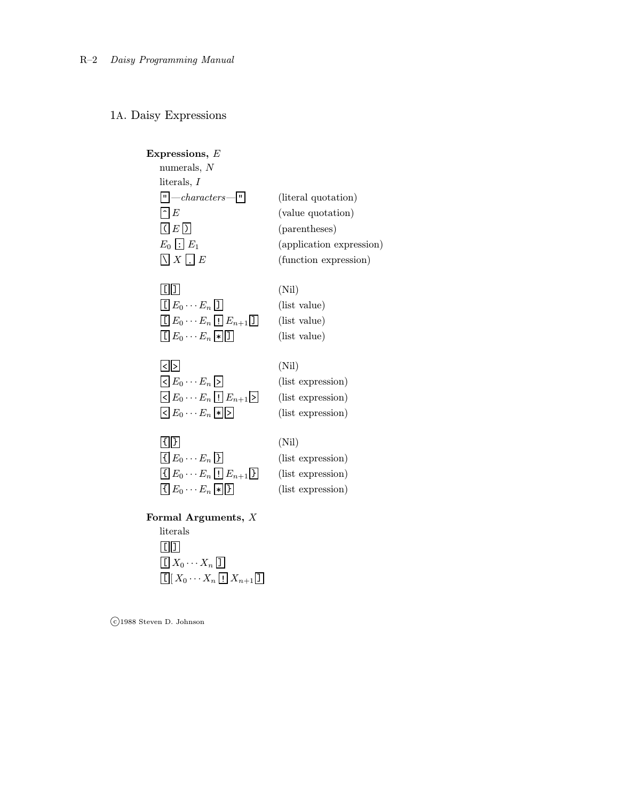1A. Daisy Expressions

## Expressions, E

| numerals, $N$                                                       |
|---------------------------------------------------------------------|
| literals, $I$                                                       |
| $\lceil \mathbf{m} \rceil$ -characters – $\lceil \mathbf{m} \rceil$ |
| $\lceil \cdot \rceil$ $E$                                           |
| (E)                                                                 |
| $E_0$ : $E_1$                                                       |
| $\prod X \prod E$                                                   |

(literal quotation) (value quotation) (parentheses) (application expression) (function expression)

| $\boxed{[1]}$                             |                                                         |      | (Nil)        |
|-------------------------------------------|---------------------------------------------------------|------|--------------|
| $\overline{[}E_0 \cdots E_n \overline{]}$ |                                                         |      | (list value) |
|                                           | $\Box$ $\Box$ $\Box$ $\Box$ $\Box$ $\Box$ $\Box$ $\Box$ | 17 L | (11)         |

 $\boxed{\underline{\mathfrak{l}}}\ E_0 \cdots E_n \underline{\mathfrak{l}}\ \underline{\mathfrak{l}}\ E_{n+1} \underline{\mathfrak{l}}$  (list value)  $\boxed{\underline{\mathsf{I}}\, E_0 \cdots E_n \, \blacktriangleright \, \underline{\mathsf{I}}\,}$  (list value)

| $ \mathbf{<} $                                                         | (Nil)             |
|------------------------------------------------------------------------|-------------------|
| $\leq E_0 \cdots E_n$                                                  | (list expression) |
| $\lvert \leq \lvert E_0 \cdots E_n \rvert \cdot \lvert E_{n+1} \rvert$ | (list expression) |
| $\leq E_0 \cdots E_n$ $\triangleright$                                 | (list expression) |

| (Nil) |                |
|-------|----------------|
|       | (list expressi |
|       | (list expressi |

| $\vert \{\vert\}$                                           | (Nil)             |
|-------------------------------------------------------------|-------------------|
| $E_0 \cdots E_n$ }                                          | (list expression) |
| $\lceil \cdot \rceil E_0 \cdots E_n \rceil  E_{n+1} \rceil$ | (list expression) |

 ${\overline{\{E_0 \cdots E_n | \mathbf{F}|\}}}$  (list expression)

## Formal Arguments, X

literals  $\Box$  $\boxed{\Box X_0 \cdots X_n \boxed{\Box}}$  $\boxed{\textbf{C}} \begin{bmatrix} X_0 \cdots X_n \end{bmatrix} \begin{bmatrix} X_{n+1} \end{bmatrix}$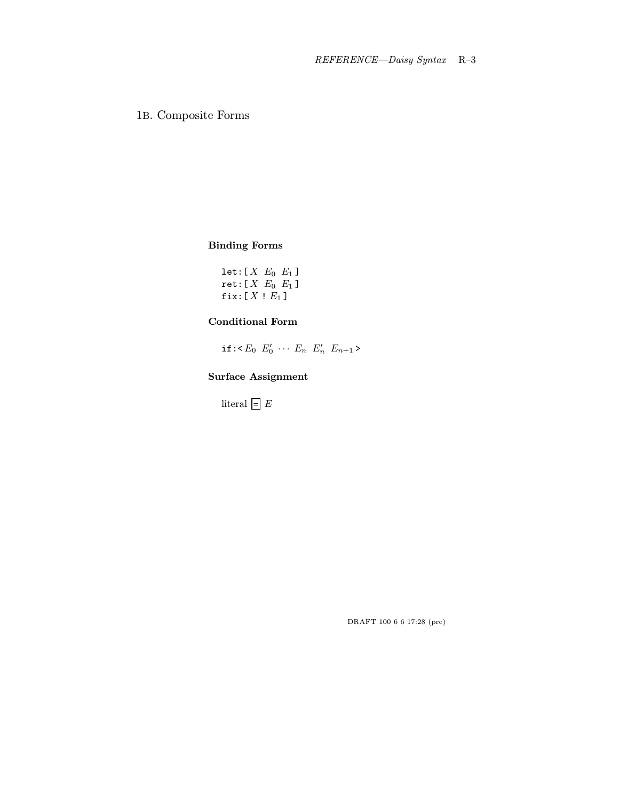## 1B. Composite Forms

## Binding Forms

 $let: [ X E_0 E_1 ]$  $\texttt{ret} \colon [\: X \ \ E_0 \ \ E_1 \: ]$ fix:[ $X : E_1$ ]

## Conditional Form

if: $\leq E_0$   $E'_0$   $\cdots$   $E_n$   $E'_n$   $E_{n+1}$ 

## Surface Assignment

literal  $\boxed{\rule{0pt}{2pt}}\equiv E$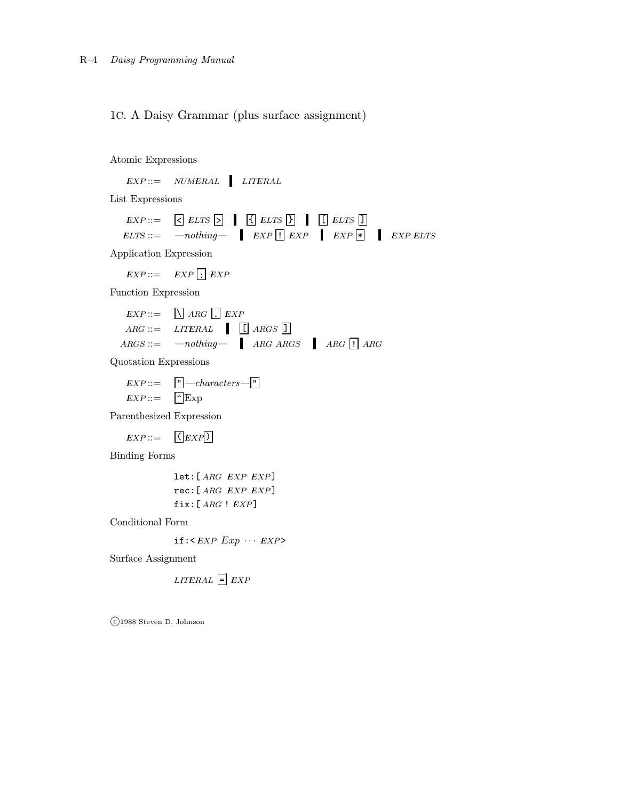1C. A Daisy Grammar (plus surface assignment)

Atomic Expressions

 $EXP::= \quad NUMBERAL \quad \quad LITERAL$ 

List Expressions

$$
EXP::= \quad \boxed{\leq ELTS \geq} \quad \boxed{\leq ELTS \geq} \quad \boxed{\leq ELTS \geq} \quad \boxed{\leq ELTS \geq} \quad \boxed{\leq ELTS \geq} \quad \boxed{\leq ELTS \geq} \quad \boxed{\leq ELTS \geq} \quad \boxed{\leq ELTS \geq} \quad \boxed{\leq ELTS \geq} \quad \boxed{\leq ELTS \geq} \quad \boxed{\leq ELTS \geq} \quad \boxed{\leq ELTS \geq} \quad \boxed{\leq ELTS \geq} \quad \boxed{\leq ELTS \geq} \quad \boxed{\leq ELTS \geq} \quad \boxed{\leq ELTS \geq} \quad \boxed{\leq ELTS \geq} \quad \boxed{\leq ELTS \geq} \quad \boxed{\leq ELTS \geq} \quad \boxed{\leq ELTS \geq} \quad \boxed{\leq ELTS \geq} \quad \boxed{\leq ELTS \geq} \quad \boxed{\leq ELTS \geq} \quad \boxed{\leq ELTS \geq} \quad \boxed{\leq ELTS \geq} \quad \boxed{\leq ELTS \geq} \quad \boxed{\leq ELTS \geq} \quad \boxed{\leq ELTS \geq} \quad \boxed{\leq ELTS \geq} \quad \boxed{\leq ELTS \geq} \quad \boxed{\leq ELTS \geq} \quad \boxed{\leq ELTS \geq} \quad \boxed{\leq ELTS \geq} \quad \boxed{\leq ELTS \geq} \quad \boxed{\leq ELTS \geq} \quad \boxed{\leq ELTS \geq} \quad \boxed{\leq ELTS \geq} \quad \boxed{\leq ELTS \geq} \quad \boxed{\leq ELTS \geq} \quad \boxed{\leq ELTS \geq} \quad \boxed{\leq ELTS \geq} \quad \boxed{\leq ELTS \geq} \quad \boxed{\leq ELTS \geq} \quad \boxed{\leq ELTS \geq} \quad \boxed{\leq ELTS \geq} \quad \boxed{\leq ELTS \geq} \quad \boxed{\leq ELTS \geq} \quad \boxed{\leq ELTS \geq} \quad \boxed{\leq ELTS \geq} \quad \boxed{\leq ELTS \geq} \quad \boxed{\leq ELTS \geq} \quad \boxed{\leq ELTS \geq} \quad \boxed{\leq ELTS \geq} \quad \boxed{\leq ELTS \geq}
$$

Application Expression

 $EXP ::=$   $EXP : EXP$ 

Function Expression

$$
EXP ::= \bigcap \text{ARG } \bigcup \text{ERP}
$$
\n
$$
ARG ::= \text{LITERAL} \quad \bigcup \bigcup \text{ARG } \bigcup \text{ARG } \bigcup
$$
\n
$$
ARG ::= \text{—nothing} \quad \bigcap \text{ARG } \text{ARG } \text{ARG } \bigcup \text{ARG } \bigcup \text{ARG } \bigcup \text{ARG } \bigcup \text{ARG } \bigcup \text{ARG } \bigcup \text{ARG } \bigcup \text{ARG } \bigcup \text{ARG } \bigcup \text{ARG } \bigcup \text{ARG } \bigcup \text{ARG } \bigcup \text{ARG } \bigcup \text{ARG } \bigcup \text{G } \bigcup \text{G } \bigcup \text{G } \bigcup \text{G } \bigcup \text{G } \bigcup \text{G } \bigcup \text{G } \bigcup \text{G } \bigcup \text{G } \bigcup \text{G } \bigcup \text{G } \bigcup \text{G } \bigcup \text{G } \bigcup \text{G } \bigcup \text{G } \bigcup \text{G } \bigcup \text{G } \bigcup \text{G } \bigcup \text{G } \bigcup \text{G } \bigcup \text{G } \bigcup \text{G } \bigcup \text{G } \bigcup \text{G } \bigcup \text{G } \bigcup \text{G } \bigcup \text{G } \bigcup \text{G } \bigcup \text{G } \bigcup \text{G } \bigcup \text{G } \bigcup \text{G } \bigcup \text{G } \bigcup \text{G } \bigcup \text{G } \bigcup \text{G } \bigcup \text{G } \bigcup \text{G } \bigcup \text{G } \bigcup \text{G } \bigcup \text{G } \bigcup \text{G } \bigcup \text{G } \bigcup \text{G } \bigcup \text{G } \bigcup \text{G } \bigcup \text{G } \bigcup \text{G } \bigcup \text{G } \bigcup \text{G } \bigcup \text{G } \bigcup \text{G } \bigcup \text{G } \bigcup \text{G } \bigcup \text{G } \bigcup \text{G } \bigcup \text{G } \bigcup \text{G } \bigcup \text{G } \bigcup \text{G } \bigcup \text{G } \bigcup \text{G } \bigcup \text{G } \bigcup \text{G } \bigcup \text{G } \bigcup \text{G } \bigcup \text{G } \bigcup \text{G } \bigcup \text{G } \bigcup \
$$

Quotation Expressions

$$
EXP::= \boxed{\text{``}—characters} \boxed{\text{``}}\\ EXP::= \boxed{\text{``}Exp}
$$

Parenthesized Expression

 $EXP ::= \quad \boxed{\textcolor{blue}{(}EXP)}$ 

Binding Forms

let:[ ARG EXP EXP ] rec:[ ARG EXP EXP ] fix:[ ARG ! EXP ]

Conditional Form

if: $\epsilon$ *EXP*  $Exp \cdots$  *EXP*>

Surface Assignment

 $LITERAL = EXP$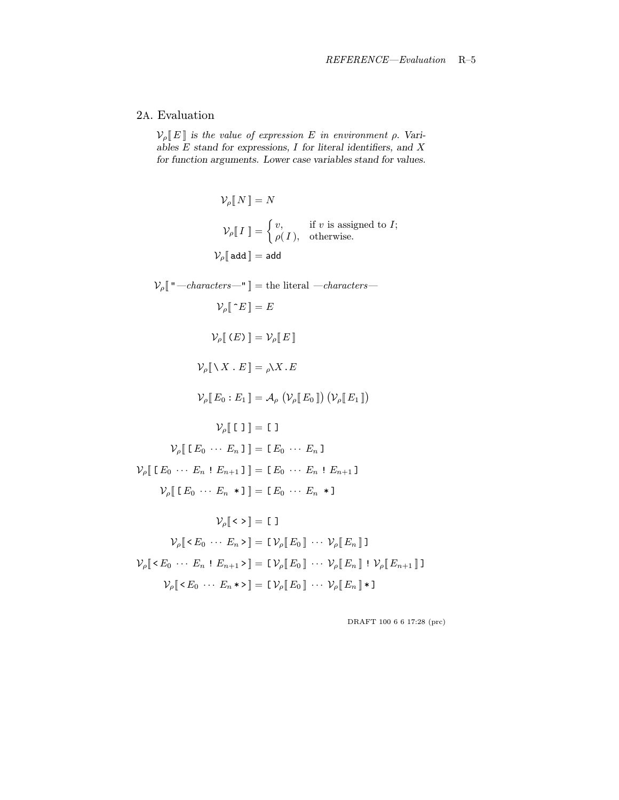#### 2A. Evaluation

 $\mathcal{V}_{\rho}[\![E]\!]$  is the value of expression E in environment  $\rho$ . Variables  $E$  stand for expressions,  $I$  for literal identifiers, and  $X$ for function arguments. Lower case variables stand for values.

 $\mathcal{V}_o[[N]] = N$  $\mathcal{V}_{\rho}[\![I]\!] = \begin{cases} v, & \text{if } v \text{ is assigned to } I; \\ o(I) & \text{otherwise.} \end{cases}$  $\rho(I)$ , otherwise.  $\mathcal{V}_{\rho}\llbracket$  add  $\rrbracket =$  add  $\mathcal{V}_{\rho}$ <sup>[|</sup> "—characters—" ] = the literal —characters—  $\mathcal{V}_o$ [  $\hat{E}$ ] = E  $\mathcal{V}_{\rho}$ [ $(E)$ ] =  $\mathcal{V}_{\rho}$ [ $E$ ]  $\mathcal{V}_\rho \llbracket \setminus X \cdot E \rrbracket = \rho \setminus X \cdot E$  $\mathcal{V}_{\rho}\llbracket E_0 : E_1 \rrbracket = \mathcal{A}_{\rho}\left(\mathcal{V}_{\rho}\llbracket E_0 \rrbracket\right)\left(\mathcal{V}_{\rho}\llbracket E_1 \rrbracket\right)$  $\mathcal{V}_{\rho}$ [[ ]] = []  $\mathcal{V}_{\rho}$ [[ $E_0$   $\cdots$   $E_n$ ]] = [ $E_0$   $\cdots$   $E_n$ ]  $\mathcal{V}_o$  [  $E_0 \cdots E_n : E_{n+1}$  ]  $= [E_0 \cdots E_n : E_{n+1}]$  $\mathcal{V}_o$  [  $[E_0 \cdots E_n * ]$  ] =  $[E_0 \cdots E_n * ]$  $\mathcal{V}_o$ [ < > ] = []  $\mathcal{V}_{\rho}$   $\leq E_0 \cdots E_n$  >  $\leq$   $\leq$   $\leq$   $\mathcal{V}_{\rho}$   $\leq$   $E_0$   $\|$   $\cdots$   $\mathcal{V}_{\rho}$   $\leq$   $E_n$   $\|$  ]  $\mathcal{V}_{\rho}$ [ <  $E_0 \cdots E_n : E_{n+1} >$ ] = [ $\mathcal{V}_{\rho}$ [ $E_0$ ]  $\cdots$   $\mathcal{V}_{\rho}$ [ $E_n$ ] !  $\mathcal{V}_{\rho}$ [ $E_{n+1}$ ]]  $\mathcal{V}_{\rho}$   $\preceq$   $E_0$   $\cdots$   $E_n$   $\preceq$   $\triangleright$   $\preceq$   $\lfloor \mathcal{V}_{\rho} \rfloor$   $E_0$   $\rfloor$   $\cdots$   $\mathcal{V}_{\rho}$   $\lfloor E_n \rfloor$   $\preceq$   $\rfloor$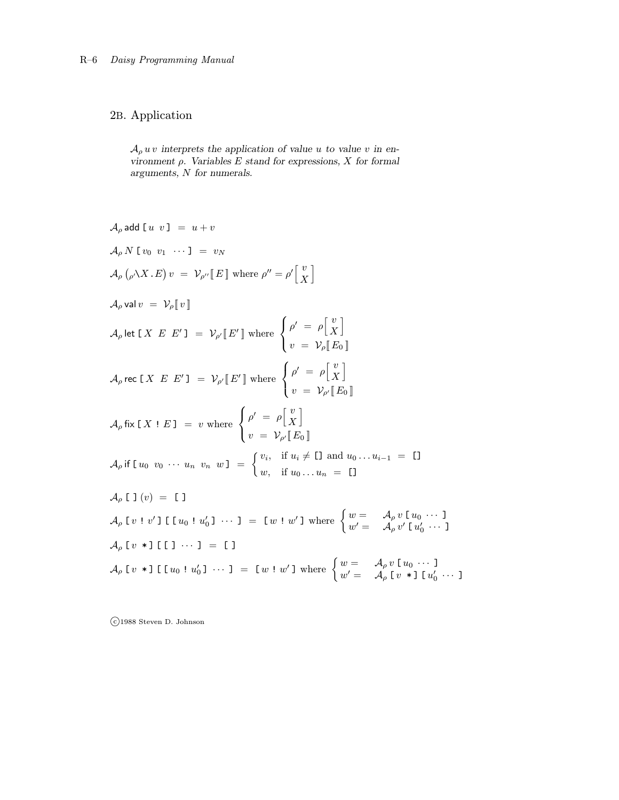#### 2B. Application

 $\mathcal{A}_{\rho} u v$  interprets the application of value u to value v in environment  $\rho$ . Variables E stand for expressions, X for formal arguments, N for numerals.

 $\mathcal{A}_o$  add [  $u$  v ] =  $u + v$  $\mathcal{A}_o N$  [  $v_0$   $v_1$   $\cdots$  ] =  $v_N$  $\mathcal{A}_{\rho}(\rho \backslash X,E) v = \mathcal{V}_{\rho''}[\![E]\!]$  where  $\rho'' = \rho'[\frac{v}{v}]$ X i  $\mathcal{A}_{\rho}$  val  $v = \mathcal{V}_{\rho} \llbracket v \rrbracket$  $\mathcal{A}_{\rho}$  let [ X E E' ] =  $\mathcal{V}_{\rho'}[\![E']\!]$  where  $\sqrt{ }$ <sup>J</sup>  $\mathcal{L}$  $\rho' = \rho \begin{bmatrix} v \\ v \end{bmatrix}$  $\boldsymbol{X}$ i  $v\;=\;\mathcal{V}_{\rho}\llbracket E_0\rrbracket$  $\mathcal{A}_{\rho}$  rec [  $X \mathrel{E} E'$  ]  $= \mathcal{V}_{\rho'}[\![E']\!]$  where  $\sqrt{ }$ J  $\mathcal{L}$  $\rho' = \rho \begin{bmatrix} v \\ v \end{bmatrix}$  $\boldsymbol{X}$ i  $v \; = \; \mathcal{V}_{\rho'} \llbracket E_0 \rrbracket$  $\mathcal{A}_{\rho}$  fix  $[X \mid E] = v$  where  $\sqrt{ }$ Į  $\mathcal{L}$  $\rho' = \rho \begin{bmatrix} v \\ v \end{bmatrix}$ X i  $v \; = \; \mathcal{V}_{\rho'} \llbracket E_0 \rrbracket$  $\mathcal{A}_{\rho}$  if  $\left[\begin{array}{cccc} u_0 & v_0 & \cdots & u_n & v_n & w \end{array}\right] = \left\{\begin{array}{cc} v_i, & \text{if } u_i \neq 0 \text{ and } u_0 \ldots u_{i-1} = 0 \end{array}\right\}$  $w, \text{ if } u_0 \ldots u_n = \text{\textsf{I}}$  $\mathcal{A}_{\rho}$  [ ]  $(v)$  = [ ]  $\mathcal{A}_{\rho}$  [ v ! v'] [ [  $u_0$  !  $u'_0$  ]  $\cdots$  ] = [ w ! w'] where  $\begin{cases} w = \mathcal{A}_{\rho} v$  [  $u_0 \cdots$  ]  $w' = \begin{cases} w + w' \end{cases}$  $w' = \mathcal{A}_{\rho}^{\dagger} v' \mathcal{b} \left[ u_0' \cdots \right]$  $\mathcal{A}_{\rho}$  [ v \* ] [ [ ]  $\cdots$  ] = [ ]  $\mathcal{A}_{\rho}$  [  $v *$ ] [[ $u_0 : u'_0$ ]  $\cdots$ ] = [ $w : w'$ ] where  $\begin{cases} w = \mathcal{A}_{\rho} v$  [ $u_0 \cdots$ ]  $w' = \mathcal{A}_{\rho} \left[ v * \right] \left[ u'_0 \cdots \right]$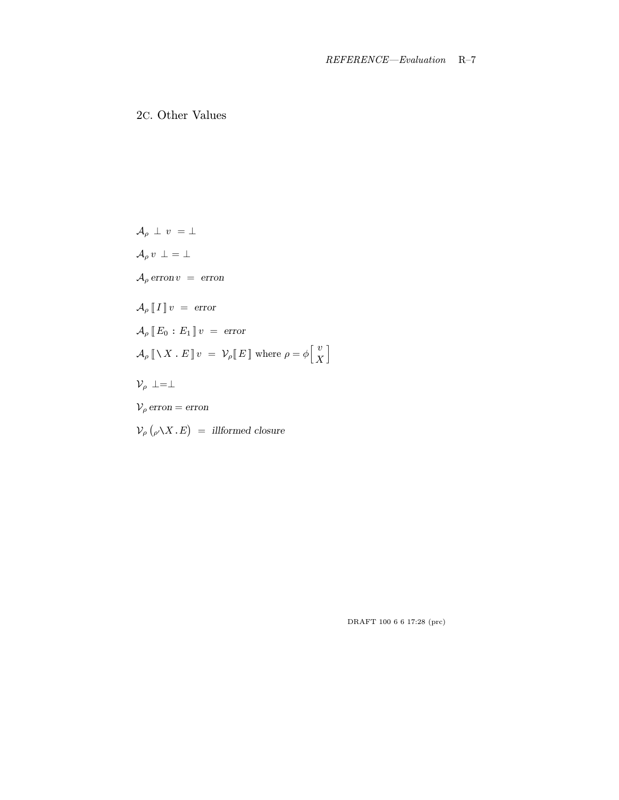2C. Other Values

 $\mathcal{A}_{\rho} \perp v = \perp$  $\mathcal{A}_{\rho} v \perp = \perp$  $A_{\rho}$  erron  $v =$  erron  $\mathcal{A}_{\rho}\llbracket I\rrbracket v = error$  $\mathcal{A}_{\rho}\left[\!\left[ \,E_0\,:\,E_1\,\right]\!\right] v \;=\; \text{error}$  $\mathcal{A}_{\rho} \llbracket \setminus X \, . \, E \rrbracket \, v \; = \; \mathcal{V}_{\rho} \llbracket E \rrbracket \, \text{ where } \rho = \phi \llbracket \, \frac{v}{\mathbf{v}}$  $\boldsymbol{X}$  $\mathcal{V}_\rho \perp = \perp$  $V_\rho$  erron = erron

i

 $\mathcal{V}_{\rho}\left( \rho\Delta X\,.\,E\right) \;=\;$  illformed closure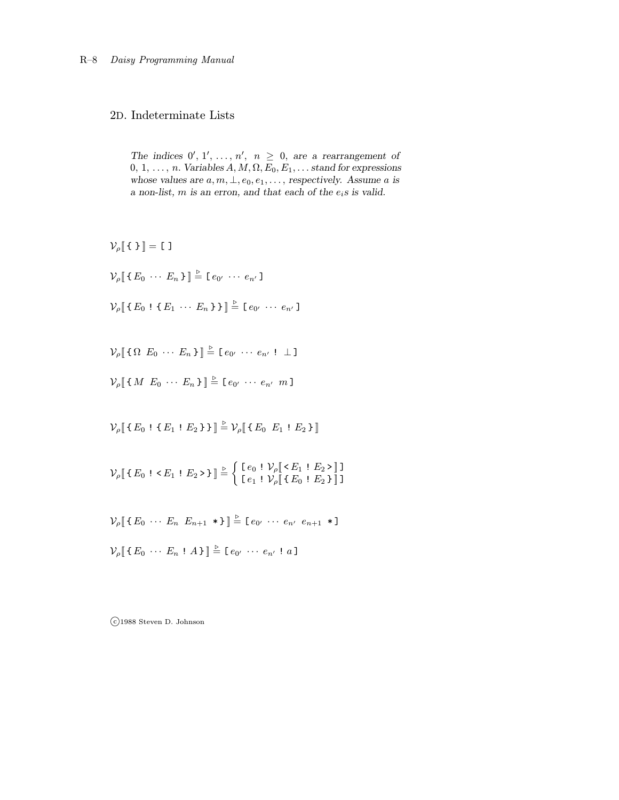## 2D. Indeterminate Lists

The indices  $0', 1', \ldots, n', n \geq 0$ , are a rearrangement of  $0, 1, \ldots, n$ . Variables  $A, M, \Omega, E_0, E_1, \ldots$  stand for expressions whose values are  $a, m, \perp, e_0, e_1, \ldots$ , respectively. Assume a is a non-list,  $m$  is an erron, and that each of the  $e_i$ s is valid.

 $\mathcal{V}_{\rho}$ [ { } ] = [ ]

$$
\mathcal{V}_{\rho}[\![\, \{ \, E_0 \, \cdots \, E_n \, \}\!] \stackrel{\triangleright}{=} \, [\, e_{0'} \, \cdots \, e_{n'} \, ]
$$

$$
\mathcal{V}_{\rho}[\lbrace E_0 : \lbrace E_1 \cdots E_n \rbrace \rbrace] \stackrel{\triangleright}{=} [\lbrace e_{0'} \cdots e_{n'} \rbrace
$$

 $\mathcal{V}_{\rho}[\![\, \Omega \, E_0 \, \cdots \, E_n\, \}\,] \stackrel{\triangleright}{=} \, [\, e_{0'} \, \cdots \, e_{n'} \, ! \, \perp]$ 

$$
\mathcal{V}_{\rho}\llbracket \{M\ E_0\ \cdots\ E_n\}\rrbracket \triangleq \llbracket e_{0'}\ \cdots\ e_{n'}\ m\rrbracket
$$

 $\mathcal{V}_{\rho}[\{E_0 : E_1 : E_2\}\}] \stackrel{\triangleright}{=} \mathcal{V}_{\rho}[\{E_0 E_1 : E_2\}]$ 

$$
\mathcal{V}_{\rho}[\![\mathop{\{E}}\nolimits_0 : E_1 : E_2 \!>\! \mathop{\{F}}\nolimits] \cong \left\{ \begin{array}{{2}{\hbox{$\,[ \,e_0 : \, \mathcal{V}_{\rho}[\![\, \leq E_1 : E_2 \!>\! \,]]$} \\ {\hbox{$\,[ \,e_1 : \, \mathcal{V}_{\rho}[\![\, \{E_0 : E_2 \} \,]]$} \end{array}} \right.
$$

$$
\mathcal{V}_{\rho}[\![\, \{ \, E_0 \, \cdots \, E_n \, E_{n+1} \, * \} \,] \, \stackrel{\triangleright}{=} \, \, [ \, e_{0'} \, \cdots \, e_{n'} \, e_{n+1} \, * \, ]
$$

$$
\mathcal{V}_{\rho}[[E_0 \cdots E_n: A] \rbrack \rbrack \rbrack = [e_0 \cdots e_{n'}: a]
$$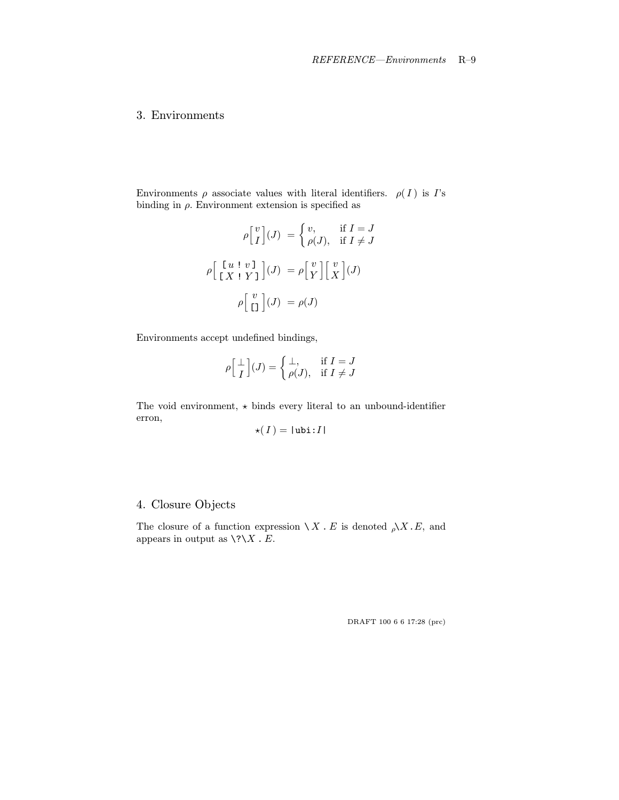#### 3. Environments

Environments  $\rho$  associate values with literal identifiers.  $\rho(I)$  is I's binding in  $\rho$ . Environment extension is specified as

$$
\rho \begin{bmatrix} v \\ I \end{bmatrix} (J) = \begin{cases} v, & \text{if } I = J \\ \rho(J), & \text{if } I \neq J \end{cases}
$$

$$
\rho \begin{bmatrix} u & v \\ X & Y \end{bmatrix} (J) = \rho \begin{bmatrix} v \\ Y \end{bmatrix} \begin{bmatrix} v \\ X \end{bmatrix} (J)
$$

$$
\rho \begin{bmatrix} v \\ I \end{bmatrix} (J) = \rho(J)
$$

Environments accept undefined bindings,

$$
\rho\Big[\frac{\bot}{I}\Big](J)=\begin{cases} \bot, & \text{if } I=J\\ \rho(J), & \text{if } I\neq J \end{cases}
$$

The void environment,  $\star$  binds every literal to an unbound-identifier erron,

$$
\star(I) = |\texttt{ubi}:I|
$$

## 4. Closure Objects

The closure of a function expression  $\setminus X$ . E is denoted  $\partial N$ . E, and appears in output as  $\\$ . E.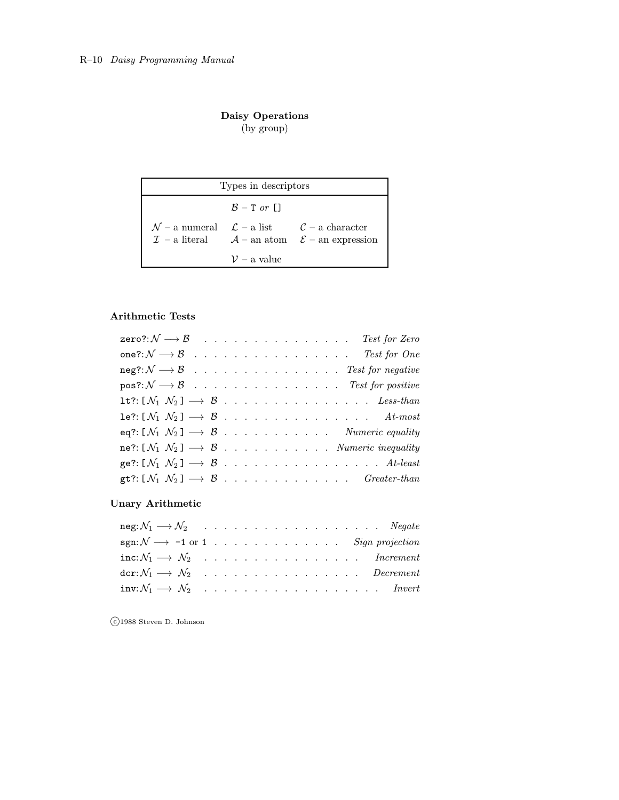## Daisy Operations

(by group)

| Types in descriptors    |                                                                                                                                                                 |
|-------------------------|-----------------------------------------------------------------------------------------------------------------------------------------------------------------|
| $\beta$ – T or $\Box$   |                                                                                                                                                                 |
|                         | $\mathcal{N}$ – a numeral $\mathcal{L}$ – a list $\mathcal{C}$ – a character<br>$\mathcal{I}$ - a literal $\mathcal{A}$ - an atom $\mathcal{E}$ - an expression |
| $\mathcal{V}$ – a value |                                                                                                                                                                 |

## Arithmetic Tests

| <b>zero?:</b> $\mathcal{N} \longrightarrow \mathcal{B}$ Test for Zero      |  |
|----------------------------------------------------------------------------|--|
| one?: $\mathcal{N} \longrightarrow \mathcal{B}$ Test for One               |  |
| $\texttt{neg?}: \mathcal{N} \longrightarrow \mathcal{B}$ Test for negative |  |
| $pos? : \mathcal{N} \longrightarrow \mathcal{B}$ Test for positive         |  |
| 1t?: $[N_1 \ N_2] \longrightarrow B$ Eess-than                             |  |
| 1e?: $[N_1 \ N_2] \longrightarrow B$ At-most                               |  |
| eq?: $[N_1 \ N_2] \longrightarrow B$ Numeric equality                      |  |
| ne?: $[N_1 \ N_2] \longrightarrow B$ Numeric inequality                    |  |
| ge?: $[N_1 \ N_2] \longrightarrow B$ At-least                              |  |
| gt?: $[N_1 N_2] \longrightarrow B$ Greater-than                            |  |

## Unary Arithmetic

| sgn: $\mathcal{N} \longrightarrow -1$ or 1 Sign projection          |  |  |  |  |  |  |  |  |  |  |
|---------------------------------------------------------------------|--|--|--|--|--|--|--|--|--|--|
| $\text{inc}: \mathcal{N}_1 \longrightarrow \mathcal{N}_2$ Increment |  |  |  |  |  |  |  |  |  |  |
| dcr: $\mathcal{N}_1 \longrightarrow \mathcal{N}_2$ Decrement        |  |  |  |  |  |  |  |  |  |  |
|                                                                     |  |  |  |  |  |  |  |  |  |  |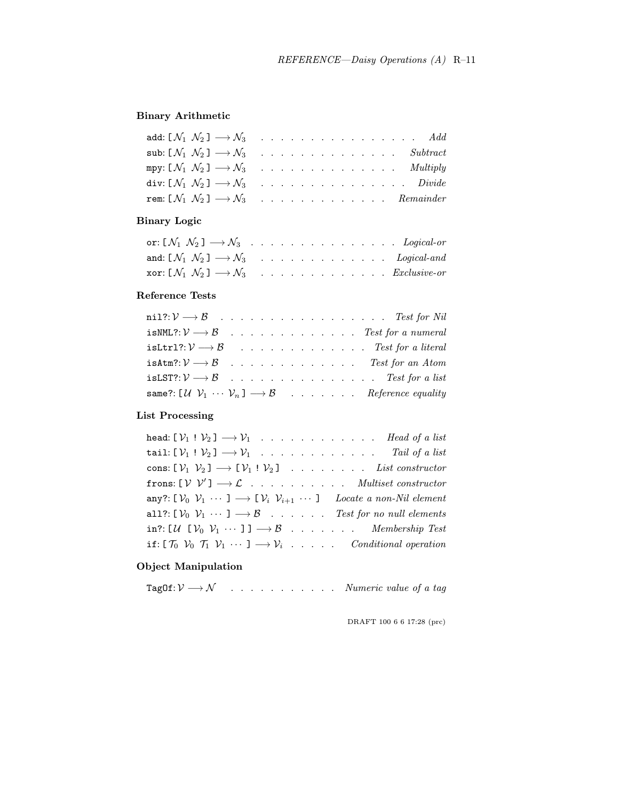#### Binary Arithmetic

| add: $[N_1 \ N_2] \longrightarrow N_3$ Add                                                  |  |  |  |  |  |  |  |  |
|---------------------------------------------------------------------------------------------|--|--|--|--|--|--|--|--|
| sub: $[N_1 \ N_2] \longrightarrow N_3$ Subtract                                             |  |  |  |  |  |  |  |  |
| mpy: $[N_1 \ N_2] \longrightarrow N_3$ Multiply                                             |  |  |  |  |  |  |  |  |
| div: $[N_1 \ N_2] \longrightarrow N_3$ Divide                                               |  |  |  |  |  |  |  |  |
| rem: $\left[ \mathcal{N}_1 \ \mathcal{N}_2 \right] \longrightarrow \mathcal{N}_3$ Remainder |  |  |  |  |  |  |  |  |

## Binary Logic

| or: $[N_1 \ N_2] \longrightarrow N_3$ <i>Logical-or</i>     |  |  |  |  |  |  |  |  |
|-------------------------------------------------------------|--|--|--|--|--|--|--|--|
| and: $[N_1 \ N_2] \longrightarrow N_3$ Dogical-and          |  |  |  |  |  |  |  |  |
| <b>xor</b> : $[N_1 \ N_2] \longrightarrow N_3$ Exclusive-or |  |  |  |  |  |  |  |  |

## Reference Tests

|  |  |  |  |  |  |  | nil?: $\mathcal{V} \longrightarrow \mathcal{B}$ Test for Nil                               |
|--|--|--|--|--|--|--|--------------------------------------------------------------------------------------------|
|  |  |  |  |  |  |  | isNML?: $\mathcal{V} \longrightarrow \mathcal{B}$ Test for a numeral                       |
|  |  |  |  |  |  |  | isLtrl?: $\mathcal{V} \longrightarrow \mathcal{B}$ Test for a literal                      |
|  |  |  |  |  |  |  | isAtm?: $V \longrightarrow B$ Test for an Atom                                             |
|  |  |  |  |  |  |  | isLST?: $\mathcal{V} \longrightarrow \mathcal{B}$ Test for a list                          |
|  |  |  |  |  |  |  | same?: $\lbrack U \ V_1 \cdots V_n \rbrack \longrightarrow \mathcal{B}$ Reference equality |

## List Processing

| head: $[\mathcal{V}_1 : \mathcal{V}_2] \longrightarrow \mathcal{V}_1$ Head of a list                                                                             |
|------------------------------------------------------------------------------------------------------------------------------------------------------------------|
| tail: $[\mathcal{V}_1 : \mathcal{V}_2] \longrightarrow \mathcal{V}_1$ Tail of a list                                                                             |
| cons: $[\mathcal{V}_1 \ \mathcal{V}_2] \longrightarrow [\mathcal{V}_1 \ \mathcal{V}_2]$ List constructor                                                         |
| frons: $[V\ V'] \longrightarrow \mathcal{L}$ Multiset constructor                                                                                                |
| any?: $[\mathcal{V}_0 \ \mathcal{V}_1 \ \cdots \ ] \longrightarrow [\mathcal{V}_i \ \mathcal{V}_{i+1} \ \cdots \ ]$ Locate a non-Nil element                     |
| all?: $[\mathcal{V}_0 \ \mathcal{V}_1 \ \cdots \ ] \longrightarrow \mathcal{B} \ \ldots \ \ldots \ \ldots$ Test for no null elements                             |
| in?: $[U \cup V_0 \vee_1 \cdots]$ $\rightarrow$ $\beta$ Membership Test                                                                                          |
| if: $[\mathcal{T}_0 \ \mathcal{V}_0 \ \mathcal{T}_1 \ \mathcal{V}_1 \ \cdots \ ] \longrightarrow \mathcal{V}_i \ \ldots \ \ldots \ \ldots$ Conditional operation |

## Object Manipulation

TagOf:  $V \longrightarrow N$  . . . . . . . . . . Numeric value of a tag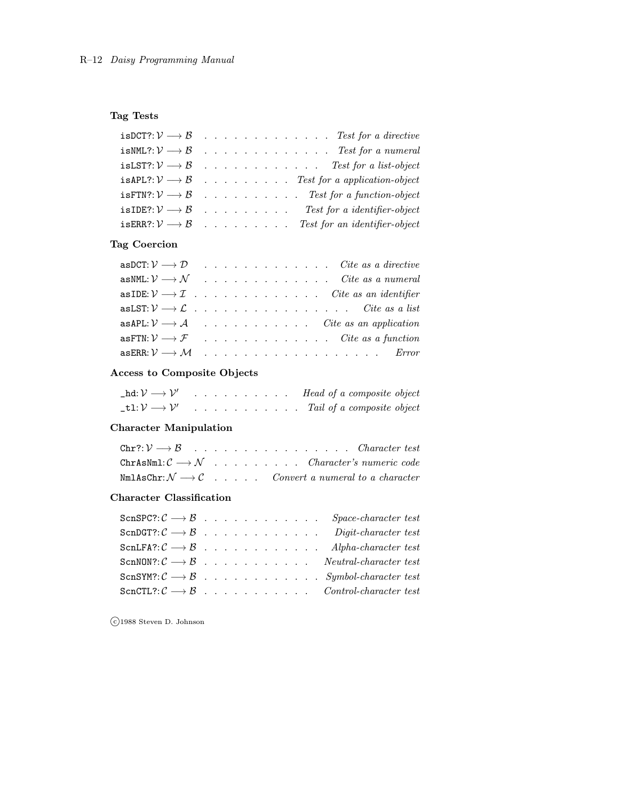## Tag Tests

|  |  |  |  |  | is DCT?: $\mathcal{V} \longrightarrow \mathcal{B}$ Test for a directive |
|--|--|--|--|--|-------------------------------------------------------------------------|
|  |  |  |  |  | isNML?: $\mathcal{V} \longrightarrow \mathcal{B}$ Test for a numeral    |
|  |  |  |  |  | isLST?: $V \longrightarrow B$ Test for a list-object                    |
|  |  |  |  |  | <b>isAPL?:</b> $V \rightarrow B$ Test for a application-object          |
|  |  |  |  |  | is FTN?: $V \longrightarrow B$ Test for a function-object               |
|  |  |  |  |  | is IDE?: $V \longrightarrow B$ Test for a identifier-object             |
|  |  |  |  |  | <b>is ERR?:</b> $V \rightarrow B$ Test for an identifier-object         |

## Tag Coercion

|  |  |  |  |  |  |  | asDCT: $\mathcal{V} \longrightarrow \mathcal{D}$ Cite as a directive     |
|--|--|--|--|--|--|--|--------------------------------------------------------------------------|
|  |  |  |  |  |  |  | asNML: $\mathcal{V} \longrightarrow \mathcal{N}$ Cite as a numeral       |
|  |  |  |  |  |  |  | as IDE: $\mathcal{V} \longrightarrow \mathcal{I}$ Cite as an identifier  |
|  |  |  |  |  |  |  | asLST: $\mathcal{V} \longrightarrow \mathcal{L}$ Cite as a list          |
|  |  |  |  |  |  |  | as APL: $\mathcal{V} \longrightarrow \mathcal{A}$ Cite as an application |
|  |  |  |  |  |  |  | as FTN: $\mathcal{V} \longrightarrow \mathcal{F}$ Cite as a function     |
|  |  |  |  |  |  |  |                                                                          |

## Access to Composite Objects

|  |  |  |  |  |  | $Ind: V \longrightarrow V'$ Head of a composite object                       |
|--|--|--|--|--|--|------------------------------------------------------------------------------|
|  |  |  |  |  |  | $\pm 1: \mathcal{V} \longrightarrow \mathcal{V}'$ Tail of a composite object |

## Character Manipulation

| Chr?: $V \longrightarrow B$ Character test                                           |  |  |  |  |  |  |  |  |  |  |
|--------------------------------------------------------------------------------------|--|--|--|--|--|--|--|--|--|--|
| ChrAsNml: $\mathcal{C} \longrightarrow \mathcal{N}$ Character's numeric code         |  |  |  |  |  |  |  |  |  |  |
| NmlAsChr: $\mathcal{N} \longrightarrow \mathcal{C}$ Convert a numeral to a character |  |  |  |  |  |  |  |  |  |  |

## Character Classification

|  |  |  |  |  |  | SCNSPC?: $C \longrightarrow B$ Space-character test   |
|--|--|--|--|--|--|-------------------------------------------------------|
|  |  |  |  |  |  |                                                       |
|  |  |  |  |  |  | SCRLFA?: $C \longrightarrow B$ Alpha-character test   |
|  |  |  |  |  |  | SCRNON?: $C \longrightarrow B$ Neutral-character test |
|  |  |  |  |  |  | SCNSYM?: $C \longrightarrow B$ Symbol-character test  |
|  |  |  |  |  |  | SCRCTL?: $C \longrightarrow B$ Control-character test |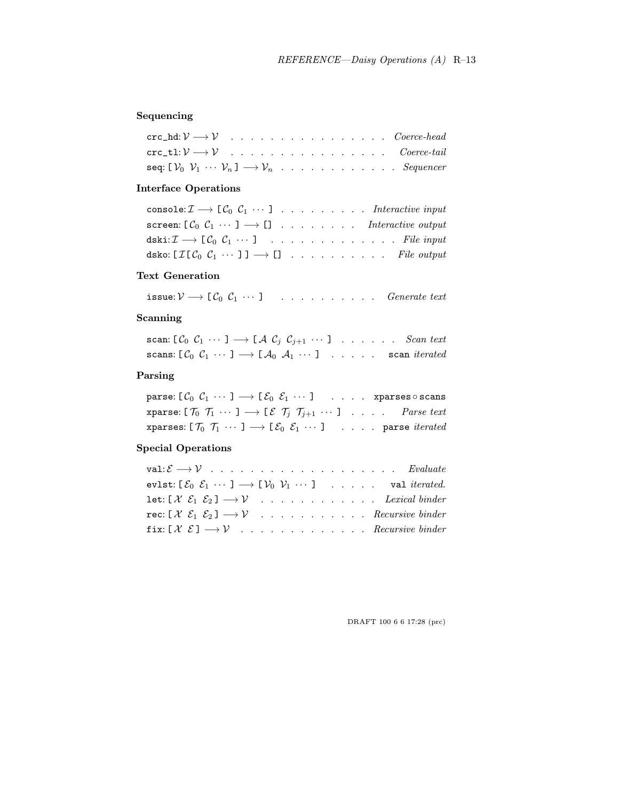## Sequencing

| $\mathsf{crc}\_ \mathsf{hd} \colon \mathcal{V} \longrightarrow \mathcal{V}$ Coerce-head                 |  |  |  |  |  |  |
|---------------------------------------------------------------------------------------------------------|--|--|--|--|--|--|
| $\mathsf{crc}\_\mathtt{tl} : \mathcal{V} \longrightarrow \mathcal{V}$ Coerce-tail                       |  |  |  |  |  |  |
| seq: $[\mathcal{V}_0 \ \mathcal{V}_1 \ \cdots \ \mathcal{V}_n] \longrightarrow \mathcal{V}_n$ Sequencer |  |  |  |  |  |  |

## Interface Operations

| console: $\mathcal{I} \longrightarrow [\mathcal{C}_0 \ \mathcal{C}_1 \ \cdots \ ]$ Interactive input                              |  |  |  |  |  |
|-----------------------------------------------------------------------------------------------------------------------------------|--|--|--|--|--|
| screen: $[\mathcal{C}_0 \mathcal{C}_1 \cdots] \longrightarrow [\mathbf{I} \ldots \ldots \ldots \ldots \ldots]$ Interactive output |  |  |  |  |  |
| dski: $\mathcal{I} \longrightarrow [\mathcal{C}_0 \mathcal{C}_1 \cdots]$ File input                                               |  |  |  |  |  |
| dsko: $[\mathcal{I}[\mathcal{C}_0 \ \mathcal{C}_1 \ \cdots \ ]] \longrightarrow []$ File output                                   |  |  |  |  |  |

## Text Generation

issue:  $V \longrightarrow [C_0 \ C_1 \ \cdots \ C_n \ C_2 \ \cdots \ C_n \ C_n$ 

## Scanning

| scan: $[\mathcal{C}_0 \mathcal{C}_1 \cdots] \longrightarrow [\mathcal{A} \mathcal{C}_j \mathcal{C}_{j+1} \cdots]$ Scan text           |  |  |  |
|---------------------------------------------------------------------------------------------------------------------------------------|--|--|--|
| scans: $[\mathcal{C}_0 \ \mathcal{C}_1 \ \cdots \ ] \longrightarrow [\mathcal{A}_0 \ \mathcal{A}_1 \ \cdots \ ]$ scan <i>iterated</i> |  |  |  |

## Parsing

| parse: $[\mathcal{C}_0 \mathcal{C}_1 \cdots] \longrightarrow [\mathcal{E}_0 \mathcal{E}_1 \cdots]$ xparses o scans                                             |  |  |  |
|----------------------------------------------------------------------------------------------------------------------------------------------------------------|--|--|--|
| xparse: $[\mathcal{T}_0 \ \mathcal{T}_1 \ \cdots \ ] \longrightarrow [\mathcal{E} \ \mathcal{T}_i \ \mathcal{T}_{i+1} \ \cdots \ ] \ \dots \ \dots$ Parse text |  |  |  |
| xparses: $[\mathcal{T}_0 \ \mathcal{T}_1 \ \cdots \ ] \longrightarrow [\mathcal{E}_0 \ \mathcal{E}_1 \ \cdots \ ]$ parse iterated                              |  |  |  |

## Special Operations

|  |  |  |  |  |  |  |  |  |  | evlst: $[\mathcal{E}_0 \mathcal{E}_1 \cdots] \longrightarrow [\mathcal{V}_0 \mathcal{V}_1 \cdots]$ val <i>iterated.</i> |
|--|--|--|--|--|--|--|--|--|--|-------------------------------------------------------------------------------------------------------------------------|
|  |  |  |  |  |  |  |  |  |  | let: $[X \mathcal{E}_1 \mathcal{E}_2] \longrightarrow V$ <i>Lexical binder</i>                                          |
|  |  |  |  |  |  |  |  |  |  | rec: $[\mathcal{X} \ \mathcal{E}_1 \ \mathcal{E}_2] \longrightarrow V$ Recursive binder                                 |
|  |  |  |  |  |  |  |  |  |  | fix: $[X \mathcal{E}] \longrightarrow V$ Recursive binder                                                               |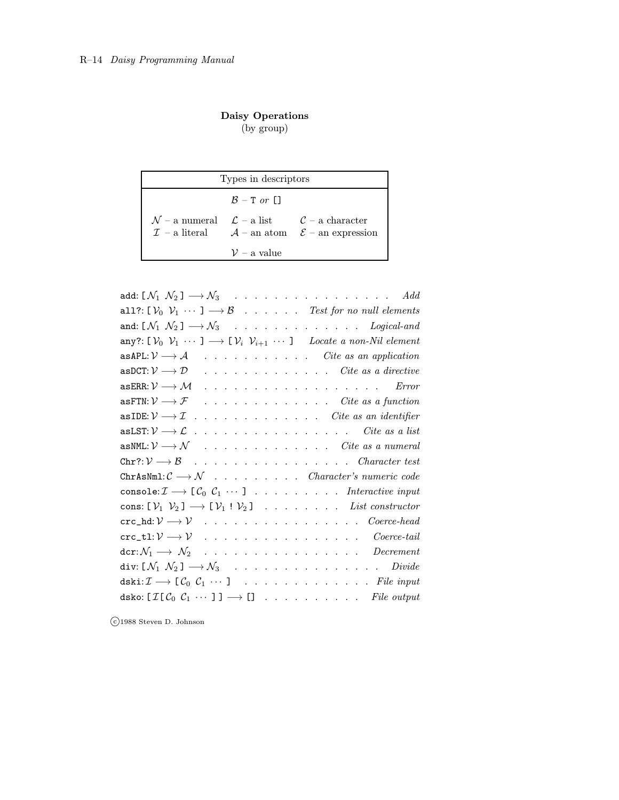## Daisy Operations

(by group)

| Types in descriptors    |                                                                                                                                                                 |
|-------------------------|-----------------------------------------------------------------------------------------------------------------------------------------------------------------|
| $\beta$ – T or []       |                                                                                                                                                                 |
|                         | $\mathcal{N}$ – a numeral $\mathcal{L}$ – a list $\mathcal{C}$ – a character<br>$\mathcal{I}$ - a literal $\mathcal{A}$ - an atom $\mathcal{E}$ - an expression |
| $\mathcal{V}$ – a value |                                                                                                                                                                 |

| add: [ $\mathcal{N}_1$ $\mathcal{N}_2$ ] $\longrightarrow \mathcal{N}_3$ Add                                                                  |
|-----------------------------------------------------------------------------------------------------------------------------------------------|
| all?: $[\mathcal{V}_0 \ \mathcal{V}_1 \ \cdots \ ] \longrightarrow \mathcal{B} \ \ldots \ \ldots \ \ldots \ \ldots$ Test for no null elements |
| and: $[N_1 \ N_2] \longrightarrow N_3$ Dogical-and                                                                                            |
| any?: $[\mathcal{V}_0 \ \mathcal{V}_1 \ \cdots \ ] \longrightarrow [\mathcal{V}_i \ \mathcal{V}_{i+1} \ \cdots \ ]$ Locate a non-Nil element  |
| . Cite as an application<br>asAPL: $\mathcal{V}\longrightarrow\mathcal{A}$                                                                    |
| . Cite as a directive<br>asDCT: $\mathcal{V} \longrightarrow \mathcal{D}$                                                                     |
| . <i>. Error</i><br>asERR: $\mathcal{V}\longrightarrow \mathcal{M}$                                                                           |
| as FTN: $\mathcal{V} \longrightarrow \mathcal{F}$ Cite as a function                                                                          |
| as IDE: $\mathcal{V} \longrightarrow \mathcal{I}$ Cite as an identifier                                                                       |
| asLST: $\mathcal{V} \longrightarrow \mathcal{L}$ Cite as a list                                                                               |
| asNML: $\mathcal{V} \longrightarrow \mathcal{N}$ Cite as a numeral                                                                            |
| Chr?: $V \longrightarrow B$ Character test                                                                                                    |
| ChrAsNml: $\mathcal{C} \longrightarrow \mathcal{N}$ Character's numeric code                                                                  |
| console: $\mathcal{I} \longrightarrow [\mathcal{C}_0 \mathcal{C}_1 \cdots ]$ Interactive input                                                |
| cons: $[\mathcal{V}_1 \ \mathcal{V}_2] \longrightarrow [\mathcal{V}_1 \ \mathcal{V}_2]$ List constructor                                      |
| $\mathsf{crc}\_ \mathsf{hd} : \mathcal{V} \longrightarrow \mathcal{V}$ Coerce-head                                                            |
| crc_tl: $\mathcal{V} \longrightarrow \mathcal{V}$ Coerce-tail                                                                                 |
| dcr: $N_1 \longrightarrow N_2$ Decrement                                                                                                      |
| div: $[N_1 \ N_2] \longrightarrow N_3$ Divide                                                                                                 |
| dski: $\mathcal{I} \longrightarrow [\mathcal{C}_0 \ \mathcal{C}_1 \ \cdots \ ]$ File input                                                    |
| dsko: $[\mathcal{I}[\mathcal{C}_0 \mathcal{C}_1 \cdots ]] \longrightarrow [] \cdots \cdots \cdots \cdots$ File output                         |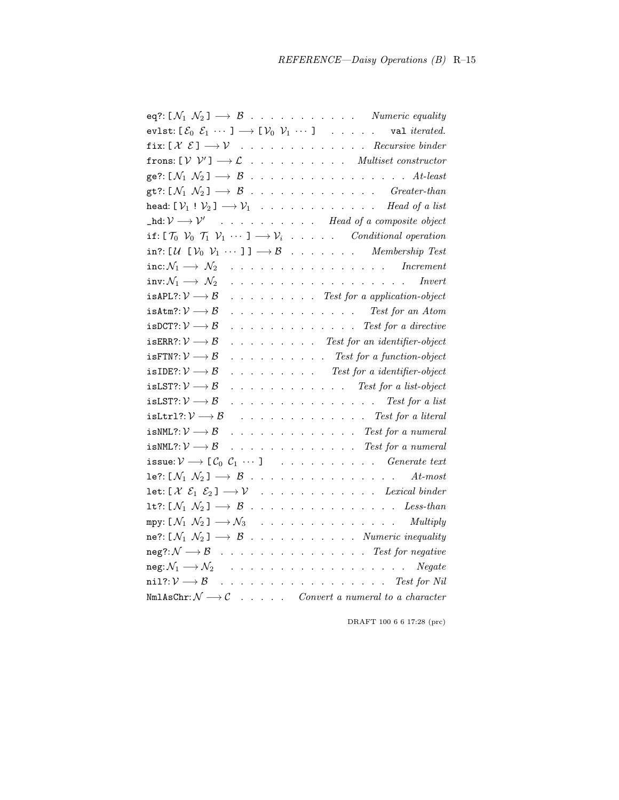| eq?: $[N_1 \ N_2] \longrightarrow B$ Numeric equality                                                                                                                                                                                                                                                                                                                                             |
|---------------------------------------------------------------------------------------------------------------------------------------------------------------------------------------------------------------------------------------------------------------------------------------------------------------------------------------------------------------------------------------------------|
| evlst: $[\mathcal{E}_0 \ \mathcal{E}_1 \ \cdots \ ] \longrightarrow [\mathcal{V}_0 \ \mathcal{V}_1 \ \cdots \ ]$ val <i>iterated.</i>                                                                                                                                                                                                                                                             |
| fix: $[X \mathcal{E}] \longrightarrow V$ Recursive binder                                                                                                                                                                                                                                                                                                                                         |
| frons: $[V\ V'] \longrightarrow \mathcal{L}$ Multiset constructor                                                                                                                                                                                                                                                                                                                                 |
| ge?: $[N_1 N_2] \longrightarrow B$ At-least                                                                                                                                                                                                                                                                                                                                                       |
| gt?: $[N_1 \ N_2] \longrightarrow B$ Greater-than                                                                                                                                                                                                                                                                                                                                                 |
| head: $[\mathcal{V}_1 : \mathcal{V}_2] \longrightarrow \mathcal{V}_1$ Head of a list                                                                                                                                                                                                                                                                                                              |
| $\Box$ hd: $V \longrightarrow V'$ Head of a composite object                                                                                                                                                                                                                                                                                                                                      |
| if: $[\mathcal{T}_0 \ \mathcal{V}_0 \ \mathcal{T}_1 \ \mathcal{V}_1 \ \cdots \ ] \longrightarrow \mathcal{V}_i \ \ldots \ \ldots \ \ldots$ Conditional operation                                                                                                                                                                                                                                  |
| in?: $[U \cup V_0 \cup \cdots]$ $\rightarrow$ B Membership Test                                                                                                                                                                                                                                                                                                                                   |
| $\text{inc}: \mathcal{N}_1 \longrightarrow \mathcal{N}_2$ Increment                                                                                                                                                                                                                                                                                                                               |
|                                                                                                                                                                                                                                                                                                                                                                                                   |
| example of the set of the set of the set of the set of the set of the set of the set of the set of the set of the set of the set of the set of the set of the set of the set of the set of the set of the set of the set of th<br>$is$ APL?: $\mathcal{V} \longrightarrow \mathcal{B}$                                                                                                            |
| isAtm?: $\mathcal{V} \longrightarrow \mathcal{B}$<br>$\ldots$ $\ldots$ $\ldots$ $\ldots$ $\ldots$ $\ldots$ $\ldots$ $\ldots$ $\ldots$ $\ldots$ $\ldots$ $\ldots$ $\ldots$ $\ldots$ $\ldots$ $\ldots$ $\ldots$ $\ldots$ $\ldots$ $\ldots$ $\ldots$ $\ldots$ $\ldots$ $\ldots$ $\ldots$ $\ldots$ $\ldots$ $\ldots$ $\ldots$ $\ldots$ $\ldots$ $\ldots$ $\ldots$ $\ldots$ $\ldots$ $\ldots$ $\ldots$ |
| . Test for a directive<br>$\mathtt{isDCT}?\mathpunct{:}\mathcal{V}\longrightarrow\mathcal{B}$                                                                                                                                                                                                                                                                                                     |
| is ERR?: $\mathcal{V} \longrightarrow \mathcal{B}$<br>Test for an identifier-object                                                                                                                                                                                                                                                                                                               |
| isFTN?: $\mathcal{V} \longrightarrow \mathcal{B}$<br>example of the set of the set of the set of the set of the set of the set of the set of the set of the set of the set of the set of the set of the set of the set of the set of the set of the set of the set of the set of th                                                                                                               |
| Test for a identifier-object<br>isIDE?: $\mathcal{V} \longrightarrow \mathcal{B}$                                                                                                                                                                                                                                                                                                                 |
| isLST?: $\mathcal{V} \longrightarrow \mathcal{B}$<br>expansion of the set of the set of the set of the set of the set of the set of the set of the set of the set of the set of the set of the set of the set of the set of the set of the set of the set of the set of the set of                                                                                                                |
| isLST?: $\mathcal{V} \longrightarrow \mathcal{B}$<br>$\cdots$ $\cdots$ $\cdots$ $\cdots$ $\cdots$ $\cdots$ $\cdots$ $\cdots$ $Test$ for a list                                                                                                                                                                                                                                                    |
| isLtrl?: $\mathcal{V} \longrightarrow \mathcal{B}$ Test for a literal                                                                                                                                                                                                                                                                                                                             |
| $\texttt{isNML}: \mathcal{V} \longrightarrow \mathcal{B}$ Test for a numeral                                                                                                                                                                                                                                                                                                                      |
| is NML?: $\mathcal{V} \longrightarrow \mathcal{B}$ Test for a numeral                                                                                                                                                                                                                                                                                                                             |
|                                                                                                                                                                                                                                                                                                                                                                                                   |
| le?: $[N_1 \ N_2] \longrightarrow B$ At-most                                                                                                                                                                                                                                                                                                                                                      |
| <b>let:</b> $[X \& \mathcal{E}_1 \& \mathcal{E}_2] \longrightarrow V$ <i>Lexical binder</i>                                                                                                                                                                                                                                                                                                       |
| 1t?: $[N_1 N_2] \longrightarrow B$ Eess-than                                                                                                                                                                                                                                                                                                                                                      |
| mpy: $[N_1 \ N_2] \longrightarrow N_3$ Multiply                                                                                                                                                                                                                                                                                                                                                   |
| ne?: $[N_1 \ N_2] \longrightarrow B$ Numeric inequality                                                                                                                                                                                                                                                                                                                                           |
| $\mathtt{neg?}:\mathcal{N}\longrightarrow\mathcal{B}$ Test for negative                                                                                                                                                                                                                                                                                                                           |
| $\texttt{neg:} \mathcal{N}_1 \longrightarrow \mathcal{N}_2 \quad \textit{ } \textit{Negate}$                                                                                                                                                                                                                                                                                                      |
| nil?: $\mathcal{V} \longrightarrow \mathcal{B}$ Test for Nil                                                                                                                                                                                                                                                                                                                                      |
| NmlAsChr: $\mathcal{N} \longrightarrow \mathcal{C}$ Convert a numeral to a character                                                                                                                                                                                                                                                                                                              |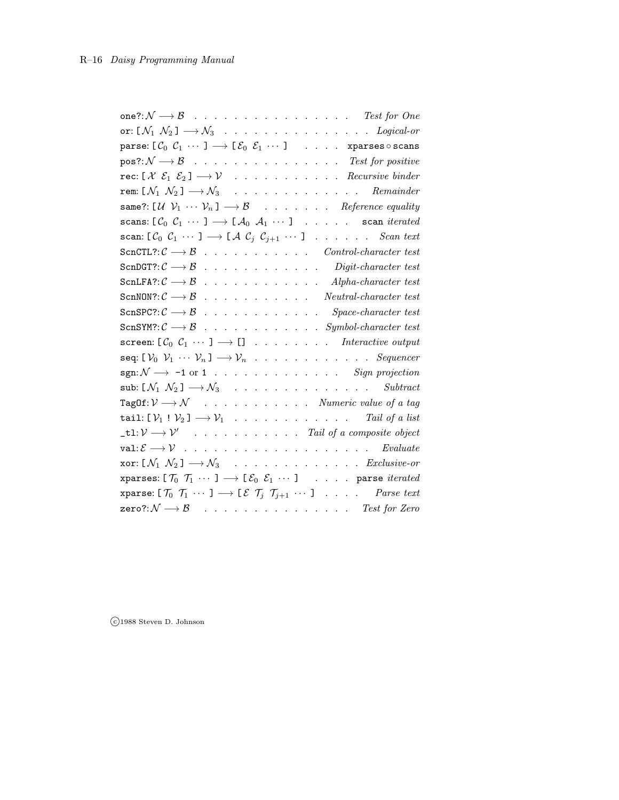| one?: $\mathcal{N} \longrightarrow \mathcal{B}$ Test for One                                                                                                                                                          |
|-----------------------------------------------------------------------------------------------------------------------------------------------------------------------------------------------------------------------|
| or: $[N_1 N_2] \longrightarrow N_3$ <i>Logical-or</i>                                                                                                                                                                 |
| $\mathtt{parse:}\; [\, \mathcal{C}_0\;\; \mathcal{C}_1\; \cdots\; ] \longrightarrow [\; \mathcal{E}_0\;\; \mathcal{E}_1\; \cdots\; ] \qquad \ldots \quad \ldots \quad \mathtt{xparses} \circ \mathtt{scans}$          |
| $pos? : \mathcal{N} \longrightarrow \mathcal{B}$ Test for positive                                                                                                                                                    |
| rec: $[X \mathcal{E}_1 \mathcal{E}_2] \longrightarrow V$ Recursive binder                                                                                                                                             |
| rem: [ $\mathcal{N}_1$ $\mathcal{N}_2$ ] $\longrightarrow$ $\mathcal{N}_3$ $\quad \ldots \quad \ldots \quad \ldots \quad \ldots \quad \ldots \quad \quad Remainder$                                                   |
| same?: $[U \; \mathcal{V}_1 \; \cdots \; \mathcal{V}_n] \longrightarrow \mathcal{B}$ Reference equality                                                                                                               |
| scans: $[\mathcal{C}_0 \mathcal{C}_1 \cdots] \longrightarrow [\mathcal{A}_0 \mathcal{A}_1 \cdots] \dots$ scan <i>iterated</i>                                                                                         |
| scan: $[\mathcal{C}_0 \ \mathcal{C}_1 \ \cdots \ ] \longrightarrow [\mathcal{A} \ \mathcal{C}_j \ \mathcal{C}_{j+1} \ \cdots \ ]$ Scan text                                                                           |
| SCnCTL?: $C \longrightarrow B$ Control-character test                                                                                                                                                                 |
| SCnDGT?: $C \longrightarrow B$ Digit-character test                                                                                                                                                                   |
| $\texttt{SchLFA?}: \mathcal{C} \longrightarrow \mathcal{B} \quad \text{.} \quad \text{.} \quad \text{.} \quad \text{.} \quad \text{.} \quad \text{.} \quad \text{.} \quad \text{.} \quad \text{Alpha-character test}$ |
| SCRNON?: $C \longrightarrow B$ Neutral-character test                                                                                                                                                                 |
| SCRSPC?: $C \longrightarrow B$ Space-character test                                                                                                                                                                   |
| SCDSYM?: $C \longrightarrow B$ Symbol-character test                                                                                                                                                                  |
| screen: $[\mathcal{C}_0 \ \mathcal{C}_1 \ \cdots \ ] \longrightarrow []\ \ldots \ \ldots \ \ldots \ \ldots \ \text{Interactive output}$                                                                               |
| seq: $[\mathcal{V}_0 \ \mathcal{V}_1 \ \cdots \ \mathcal{V}_n] \longrightarrow \mathcal{V}_n$ Sequencer                                                                                                               |
| sgn: $\mathcal{N} \longrightarrow -1$ or 1 Sign projection                                                                                                                                                            |
| sub: $[N_1 \ N_2] \longrightarrow N_3$ Subtract                                                                                                                                                                       |
| <b>TagOf:</b> $V \longrightarrow N$ Numeric value of a tag                                                                                                                                                            |
| tail: $[\mathcal{V}_1 : \mathcal{V}_2] \longrightarrow \mathcal{V}_1$ Tail of a list                                                                                                                                  |
| $\pm 1 : \mathcal{V} \longrightarrow \mathcal{V}'$ Tail of a composite object                                                                                                                                         |
|                                                                                                                                                                                                                       |
| xor: $[N_1 \ N_2] \longrightarrow N_3$ Exclusive-or                                                                                                                                                                   |
| xparses: $[\mathcal{T}_0 \ \mathcal{T}_1 \ \cdots \ ] \longrightarrow [\mathcal{E}_0 \ \mathcal{E}_1 \ \cdots \ ]$ parse iterated                                                                                     |
| xparse: $[\mathcal{T}_0 \ \mathcal{T}_1 \ \cdots \ ] \longrightarrow [\mathcal{E} \ \mathcal{T}_j \ \mathcal{T}_{j+1} \ \cdots \ ] \ \dots \ \dots$ Parse text                                                        |
| <b>zero?</b> : $\mathcal{N} \longrightarrow \mathcal{B}$ Test for Zero                                                                                                                                                |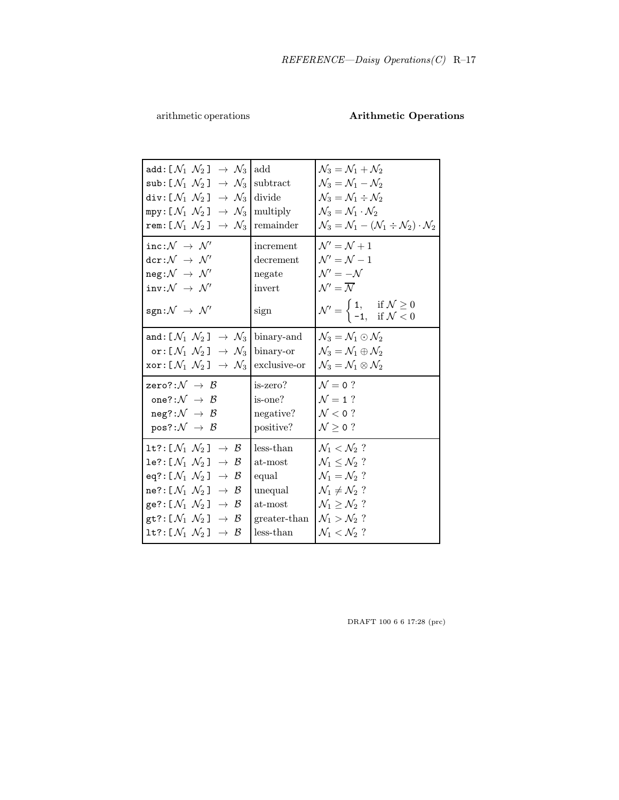## arithmetic operations Arithmetic Operations

| $\texttt{add}\!:\![\, \mathcal{N}_1 \,\, \mathcal{N}_2\,] \,\, \rightarrow \, \mathcal{N}_3\,  $<br>add | $\mathcal{N}_3 = \mathcal{N}_1 + \mathcal{N}_2$                                                                   |
|---------------------------------------------------------------------------------------------------------|-------------------------------------------------------------------------------------------------------------------|
| $\textsf{sub}: [\mathcal{N}_1 \; \mathcal{N}_2] \; \rightarrow \; \mathcal{N}_3$<br>subtract            | $\mathcal{N}_3 = \mathcal{N}_1 - \mathcal{N}_2$                                                                   |
| $div: [\mathcal{N}_1 \mathcal{N}_2] \rightarrow \mathcal{N}_3$ divide                                   | $\mathcal{N}_3 = \mathcal{N}_1 \div \mathcal{N}_2$                                                                |
| $mpy: [\mathcal{N}_1 \ \mathcal{N}_2] \rightarrow \mathcal{N}_3$<br>multiply                            | $\mathcal{N}_3 = \mathcal{N}_1 \cdot \mathcal{N}_2$                                                               |
| rem: $[\mathcal{N}_1 \mathcal{N}_2] \rightarrow \mathcal{N}_3$ remainder                                | $\mathcal{N}_3 = \mathcal{N}_1 - (\mathcal{N}_1 \div \mathcal{N}_2) \cdot \mathcal{N}_2$                          |
| increment                                                                                               | $\mathcal{N}'=\mathcal{N}+1$                                                                                      |
| decrement                                                                                               | $\mathcal{N}'=\mathcal{N}-1$                                                                                      |
| negate                                                                                                  | $\mathcal{N}'=-\mathcal{N}$                                                                                       |
| invert                                                                                                  | $\mathcal{N}'=\overline{\mathcal{N}}$                                                                             |
| sign                                                                                                    | $\mathcal{N}' = \begin{cases} 1, & \text{if } \mathcal{N} \geq 0 \\ -1, & \text{if } \mathcal{N} < 0 \end{cases}$ |
| and: $\left[ \mathcal{N}_1 \mathcal{N}_2 \right] \rightarrow \mathcal{N}_3$<br>binary-and               | $\mathcal{N}_3 = \mathcal{N}_1 \odot \mathcal{N}_2$                                                               |
| or: $[\mathcal{N}_1 \mathcal{N}_2] \rightarrow \mathcal{N}_3$ binary-or                                 | $\mathcal{N}_3 = \mathcal{N}_1 \oplus \mathcal{N}_2$                                                              |
| $\texttt{xor}: [\mathcal{N}_1 \; \mathcal{N}_2] \; \rightarrow \; \mathcal{N}_3$<br>exclusive-or        | $\mathcal{N}_3 = \mathcal{N}_1 \otimes \mathcal{N}_2$                                                             |
| is-zero?                                                                                                | $\mathcal{N}=0$ ?                                                                                                 |
| is-one?                                                                                                 | $\mathcal{N}=1$ ?                                                                                                 |
| negative?                                                                                               | $\mathcal{N}<$ 0 ?                                                                                                |
| positive?                                                                                               | $\mathcal{N} \geq 0$ ?                                                                                            |
| $less$ -than                                                                                            | $\mathcal{N}_1 < \mathcal{N}_2$ ?                                                                                 |
| at-most                                                                                                 | $\mathcal{N}_1 \leq \mathcal{N}_2$ ?                                                                              |
| equal                                                                                                   | $\mathcal{N}_1=\mathcal{N}_2$ ?                                                                                   |
| unequal                                                                                                 | $\mathcal{N}_1 \neq \mathcal{N}_2$ ?                                                                              |
| at-most                                                                                                 | $\mathcal{N}_1 > \mathcal{N}_2$ ?                                                                                 |
| greater-than                                                                                            | $\mathcal{N}_1 > \mathcal{N}_2$ ?                                                                                 |
| less-than                                                                                               | $\mathcal{N}_1 < \mathcal{N}_2$ ?                                                                                 |
|                                                                                                         |                                                                                                                   |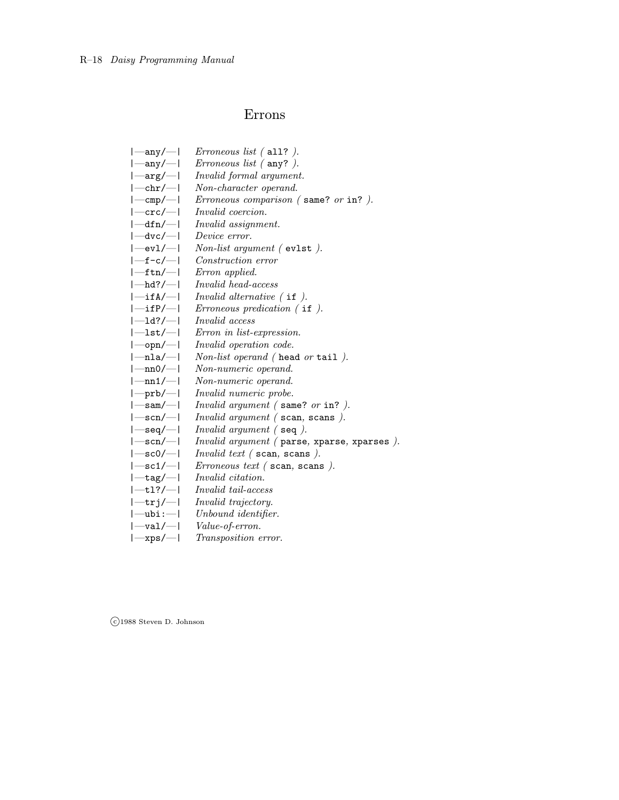# Errons

| $ -$ any $/$ $-$  | Erroneous list $($ all? $).$               |
|-------------------|--------------------------------------------|
| $ -$ any $/$ $  $ | Erroneous list $($ any? $).$               |
| $ -arg/ - $       | Invalid formal argument.                   |
| $ -chr/ - $       | Non-character operand.                     |
| $ -cmp/ - $       | Erroneous comparison (same? or in?).       |
| $ -{\rm crc}/- $  | <i>Invalid coercion.</i>                   |
| $ -dfn/ - $       | Invalid assignment.                        |
| $ -dvc/ - $       | Device error.                              |
| $ -ev1/ - $       | Non-list argument (evlst).                 |
| $ -f-c/ - $       | <i>Construction error</i>                  |
| $ -ftn/ - $       | Erron applied.                             |
| $ -hd?/ - $       | <i>Invalid head-access</i>                 |
| $ -ifA/ - $       | Invalid alternative $($ if $)$ .           |
| $ -ifP/ - $       | $Errorous\ prediction (if).$               |
| $ -1d?/ - $       | <i>Invalid access</i>                      |
| $ -1st/ - $       | Erron in list-expression.                  |
| $ -opn/ - $       | Invalid operation code.                    |
| $ -nla/ - $       | <i>Non-list operand ( head or tail ).</i>  |
| $ -nn0/ - $       | Non-numeric operand.                       |
| $ -nn1/ - $       | Non-numeric operand.                       |
| $ -prb/ - $       | Invalid numeric probe.                     |
| $ -sam/ - $       | Invalid argument (same? or in?).           |
| $ -scn/ - $       | Invalid argument (scan, scans).            |
| $ -seq/ -  $      | Invalid argument $($ seq $).$              |
| $ -scn/ - $       | Invalid argument (parse, xparse, xparses). |
| $ -sc0/ - $       | Invalid text $($ scan, scans $).$          |
| $ -sc1/ - $       | $Errorous text$ (scan, scans).             |
| $ -tag - $        | <i>Invalid citation.</i>                   |
| $ -t1?/- $        | <i>Invalid tail-access</i>                 |
| $ -tri/ - $       | <i>Invalid trajectory.</i>                 |
| $ -$ ubi: $- $    | Unbound identifier.                        |
| $ -val/- $        | Value-of-erron.                            |
| $ -xps/ - $       | Transposition error.                       |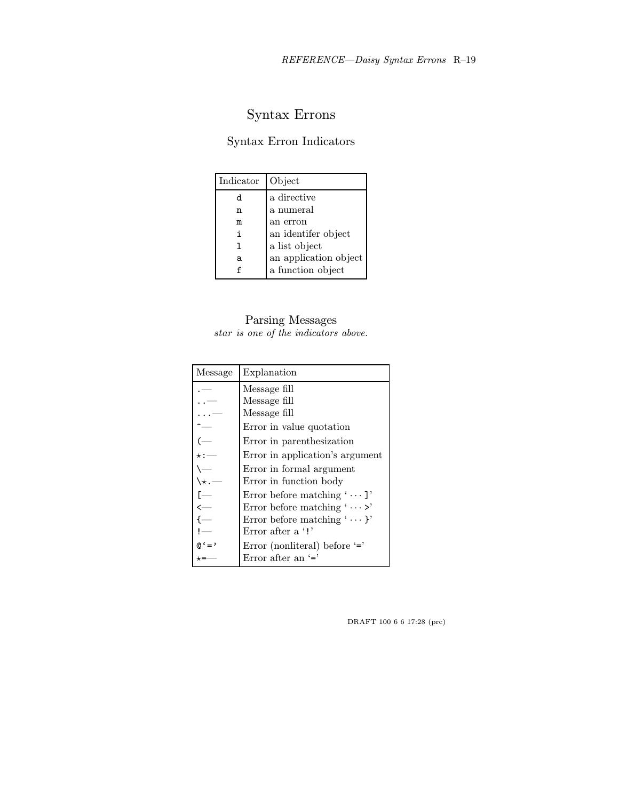# Syntax Errons

## Syntax Erron Indicators

| Indicator | Object                |
|-----------|-----------------------|
| d         | a directive           |
| n         | a numeral             |
| m         | an erron              |
| i         | an identifer object   |
| ı         | a list object         |
| a         | an application object |
|           | a function object     |

## Parsing Messages

star is one of the indicators above.

| Message             | Explanation                           |
|---------------------|---------------------------------------|
|                     | Message fill                          |
|                     | Message fill                          |
|                     | Message fill                          |
|                     | Error in value quotation              |
| (—                  | Error in parenthesization             |
|                     | Error in application's argument       |
| $\setminus$         | Error in formal argument              |
| $\setminus \star$ . | Error in function body                |
| ſ—                  | Error before matching $\cdots$ ]      |
| $\leftarrow$        | Error before matching $\cdots$ >      |
| $\leftarrow$        | Error before matching $\cdots$ }'     |
|                     | Error after $a'$ !                    |
| $@' ='$             | Error (nonliteral) before $\prime$ =' |
|                     | Error after an $=$                    |